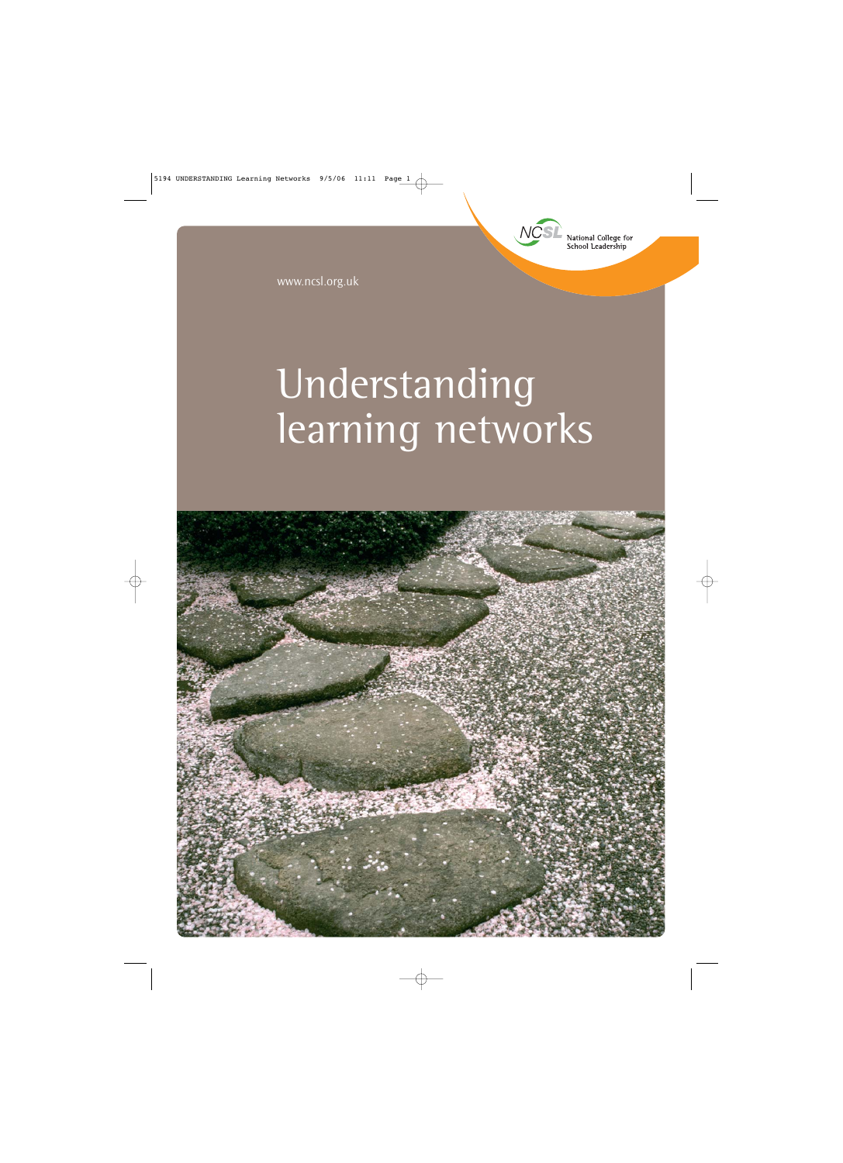

www.ncsl.org.uk

# Understanding learning networks

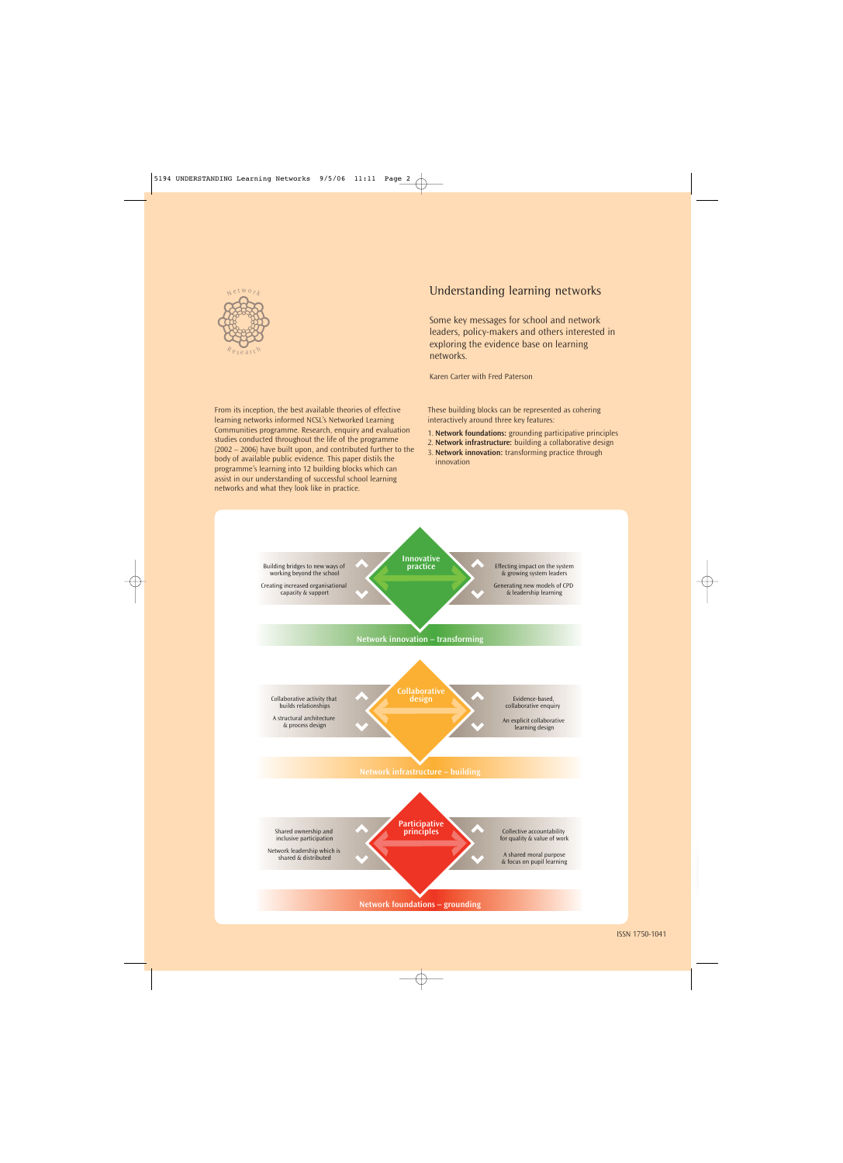

From its inception, the best available theories of effective learning networks informed NCSL's Networked Learning Communities programme. Research, enquiry and evaluation studies conducted throughout the life of the programme (2002 – 2006) have built upon, and contributed further to the body of available public evidence. This paper distils the programme's learning into 12 building blocks which can assist in our understanding of successful school learning

#### Understanding learning networks

Some key messages for school and network leaders, policy-makers and others interested in exploring the evidence base on learning networks.

Karen Carter with Fred Paterson

These building blocks can be represented as cohering interactively around three key features:

- 1. **Network foundations:** grounding participative principles
- 2. **Network infrastructure:** building a collaborative design
- 3. **Network innovation:** transforming practice through innovation

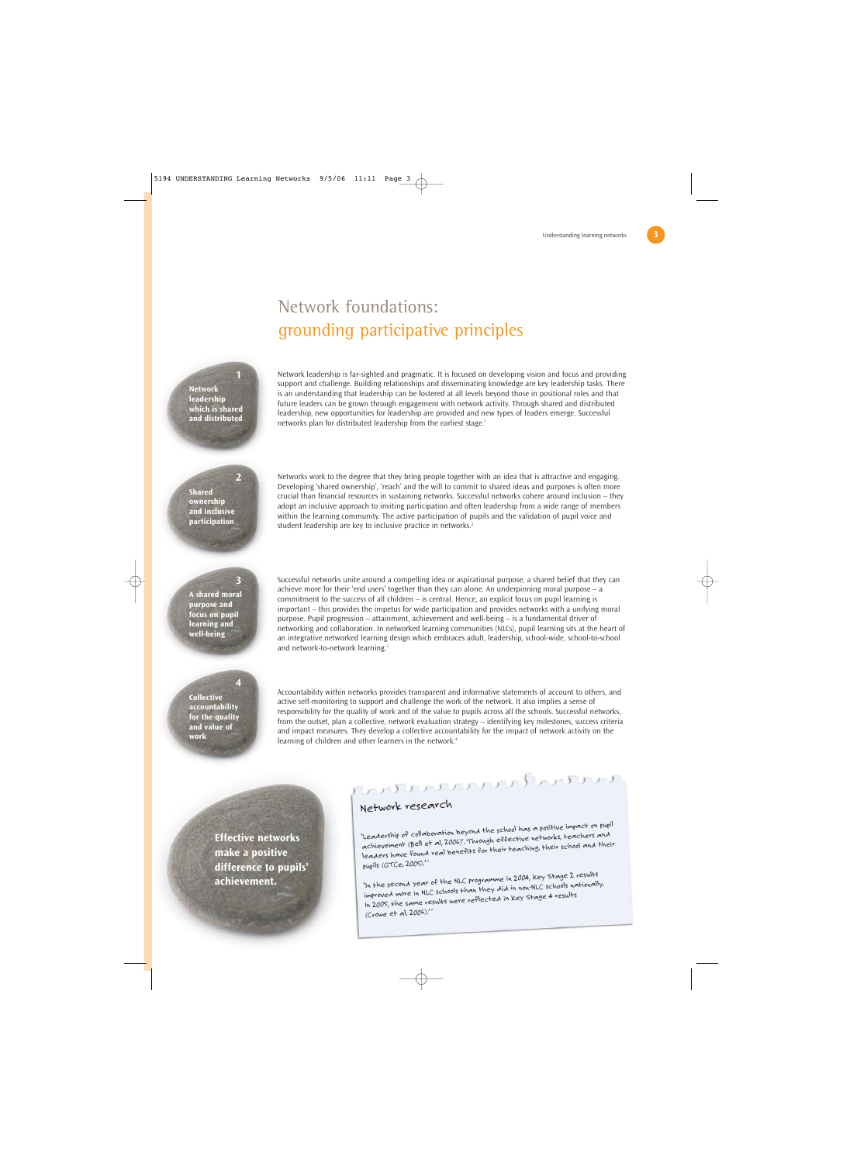## Network foundations: grounding participative principles



**1**

**2**

**3**

**4**

Network leadership is far-sighted and pragmatic. It is focused on developing vision and focus and providing support and challenge. Building relationships and disseminating knowledge are key leadership tasks. There is an understanding that leadership can be fostered at all levels beyond those in positional roles and that future leaders can be grown through engagement with network activity. Through shared and distributed leadership, new opportunities for leadership are provided and new types of leaders emerge. Successful networks plan for distributed leadership from the earliest stage.<sup>1</sup>

**Shared ownership and inclusive participation**

Networks work to the degree that they bring people together with an idea that is attractive and engaging. Developing 'shared ownership', 'reach' and the will to commit to shared ideas and purposes is often more crucial than financial resources in sustaining networks. Successful networks cohere around inclusion – they adopt an inclusive approach to inviting participation and often leadership from a wide range of members within the learning community. The active participation of pupils and the validation of pupil voice and student leadership are key to inclusive practice in networks.<sup>2</sup>

**A shared moral purpose and focus on pupil learning and well-being**

Successful networks unite around a compelling idea or aspirational purpose, a shared belief that they can achieve more for their 'end users' together than they can alone. An underpinning moral purpose – a commitment to the success of all children – is central. Hence, an explicit focus on pupil learning is important – this provides the impetus for wide participation and provides networks with a unifying moral purpose. Pupil progression – attainment, achievement and well-being – is a fundamental driver of networking and collaboration. In networked learning communities (NLCs), pupil learning sits at the heart of an integrative networked learning design which embraces adult, leadership, school-wide, school-to-school and network-to-network learning.<sup>3</sup>

**Collective accountability for the quality and value of work**

Accountability within networks provides transparent and informative statements of account to others, and active self-monitoring to support and challenge the work of the network. It also implies a sense of responsibility for the quality of work and of the value to pupils across all the schools. Successful networks, from the outset, plan a collective, network evaluation strategy – identifying key milestones, success criteria and impact measures. They develop a collective accountability for the impact of network activity on the learning of children and other learners in the network.<sup>4</sup>

**Effective networks make a positive difference to pupils' achievement.**

$$
\mathcal{L}_{\mathcal{L}}\left(\mathcal{L}_{\mathcal{L}}\right)\left(\mathcal{L}_{\mathcal{L}}\left(\mathcal{L}_{\mathcal{L}}\right),\mathcal{L}_{\mathcal{L}}\left(\mathcal{L}_{\mathcal{L}}\right)\right)\left(\mathcal{L}_{\mathcal{L}}\right)\left(\mathcal{L}_{\mathcal{L}}\right)\left(\mathcal{L}_{\mathcal{L}}\right)
$$

F.

#### Network research

'Leadership of collaboration beyond the school has a positive impact on pupil 'Leadership of collaboration beyond inclusional effective networks, teachers and<br>achievement (Bell et al, 2006)<sup>s</sup>. Through effective networks, teachers and the leaders have found real benefits for their teaching, their school and their pupils (GTCe, 2005).' <sup>6</sup>

'In the second year of the NLC programme in 2004, Key Stage 2 results improved more in NLC schools than they did in non-NLC schools nationally. In 2005, the same results were reflected in Key Stage 4 results (Crowe et al, 2006).' <sup>7</sup>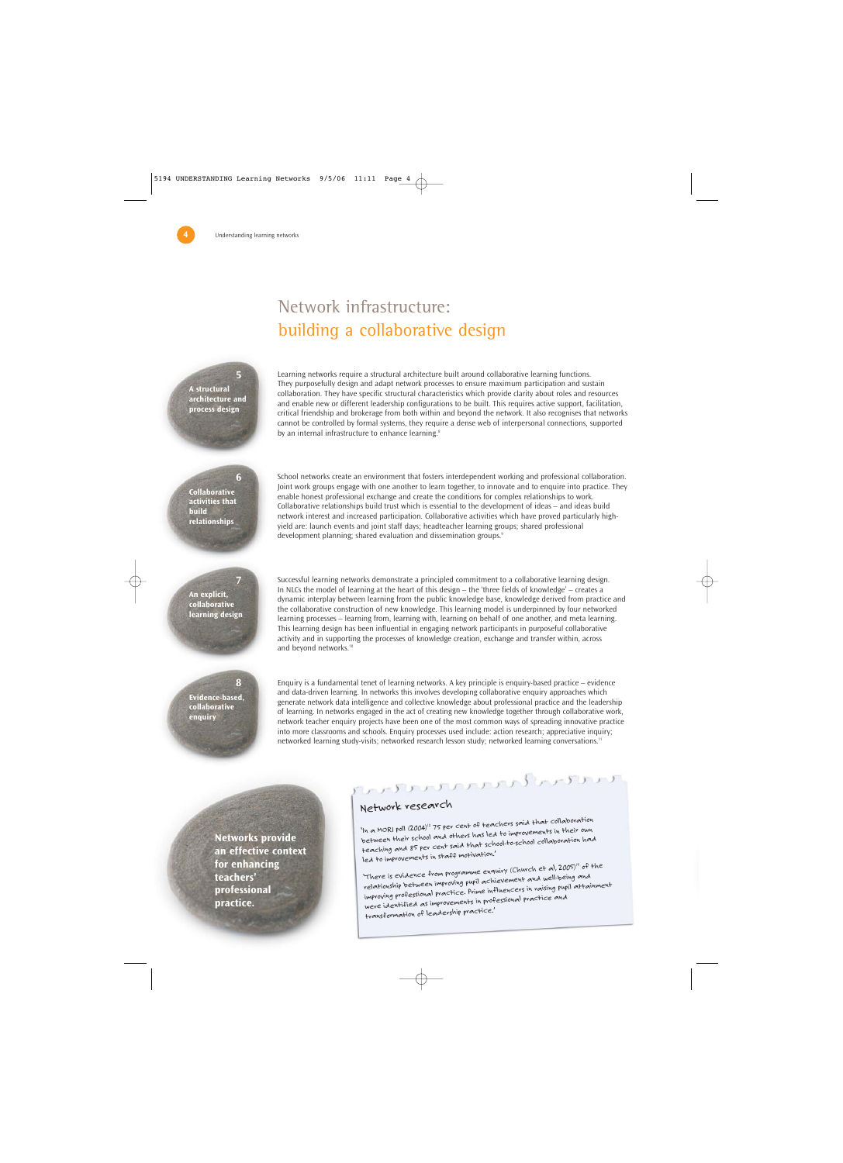# Network infrastructure: building a collaborative design

**A structural architecture and process design**

**5**

**6**

**7**

**8**

Learning networks require a structural architecture built around collaborative learning functions. They purposefully design and adapt network processes to ensure maximum participation and sustain collaboration. They have specific structural characteristics which provide clarity about roles and resources and enable new or different leadership configurations to be built. This requires active support, facilitation, critical friendship and brokerage from both within and beyond the network. It also recognises that networks cannot be controlled by formal systems, they require a dense web of interpersonal connections, supported by an internal infrastructure to enhance learning.<sup>8</sup>

**Collaborative activities that build relationships**

School networks create an environment that fosters interdependent working and professional collaboration. Joint work groups engage with one another to learn together, to innovate and to enquire into practice. They enable honest professional exchange and create the conditions for complex relationships to work. Collaborative relationships build trust which is essential to the development of ideas – and ideas build network interest and increased participation. Collaborative activities which have proved particularly highyield are: launch events and joint staff days; headteacher learning groups; shared professional development planning; shared evaluation and dissemination groups.<sup>9</sup>

**An explicit, collaborative learning design** Successful learning networks demonstrate a principled commitment to a collaborative learning design. In NLCs the model of learning at the heart of this design – the 'three fields of knowledge' – creates a dynamic interplay between learning from the public knowledge base, knowledge derived from practice and the collaborative construction of new knowledge. This learning model is underpinned by four networked learning processes – learning from, learning with, learning on behalf of one another, and meta learning. This learning design has been influential in engaging network participants in purposeful collaborative activity and in supporting the processes of knowledge creation, exchange and transfer within, across and beyond networks.<sup>10</sup>

**Evidence-based, collaborative enquiry**

Enquiry is a fundamental tenet of learning networks. A key principle is enquiry-based practice – evidence and data-driven learning. In networks this involves developing collaborative enquiry approaches which generate network data intelligence and collective knowledge about professional practice and the leadership of learning. In networks engaged in the act of creating new knowledge together through collaborative work, network teacher enquiry projects have been one of the most common ways of spreading innovative practice into more classrooms and schools. Enquiry processes used include: action research; appreciative inquiry; networked learning study-visits; networked research lesson study; networked learning conversations.<sup>11</sup>

**Networks provide an effective context for enhancing teachers' professional practice.** 

# ひっとり いいいいい いんいいいい

#### Network research

'In a MORI poll (2004)<sup>12</sup> 75 per cent of teachers said that collaboration between their school and others has led to improvements in their own teaching and 85 per cent said that school-to-school collaboration had led to improvements in staff motivation.'

'There is evidence from programme enquiry (Church et al, 2005)<sup>13</sup> of the relationship between improving pupil achievement and well-being and improving professional practice. Prime influencers in raising pupil attainment were identified as improvements in professional practice and transformation of leadership practice.'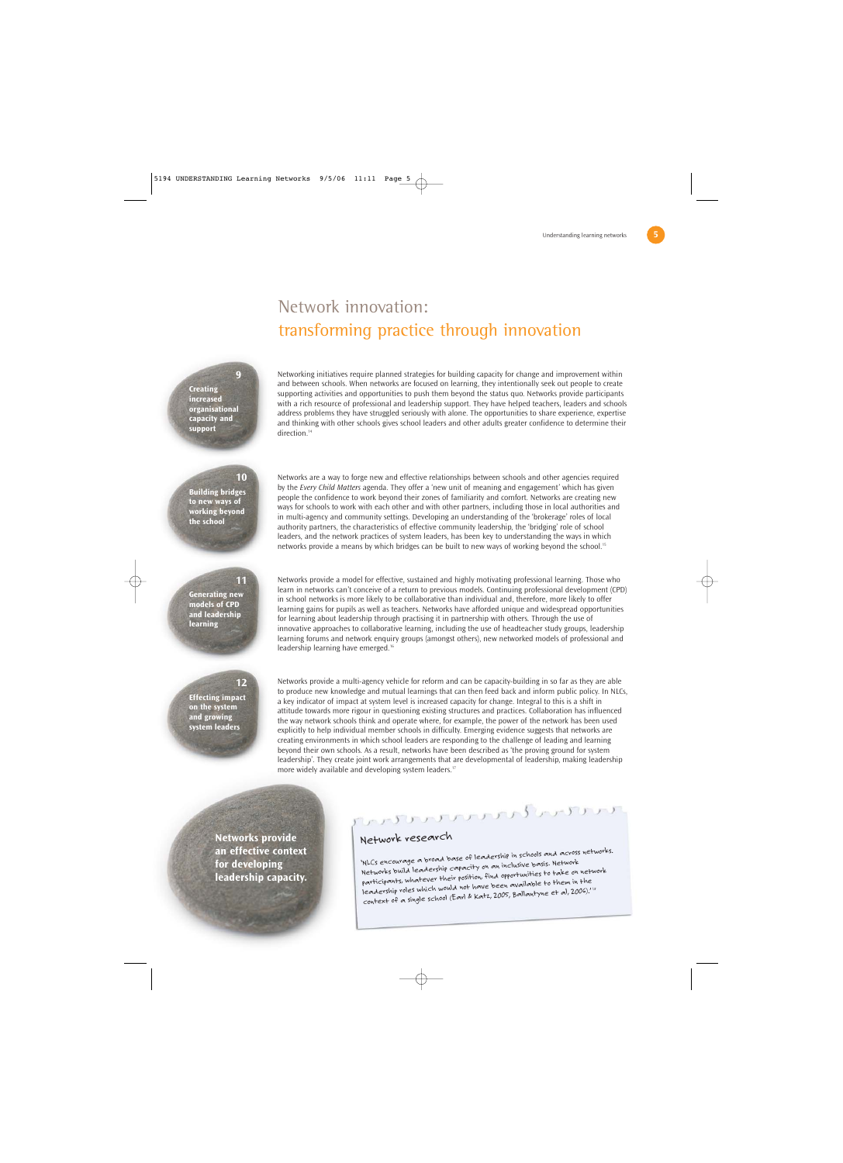### Network innovation: transforming practice through innovation

**Creating increased organisational capacity and support**

Networking initiatives require planned strategies for building capacity for change and improvement within and between schools. When networks are focused on learning, they intentionally seek out people to create supporting activities and opportunities to push them beyond the status quo. Networks provide participants with a rich resource of professional and leadership support. They have helped teachers, leaders and schools address problems they have struggled seriously with alone. The opportunities to share experience, expertise and thinking with other schools gives school leaders and other adults greater confidence to determine their direction.<sup>14</sup>

#### **10**

**11**

**12**

**9**

**Building bridges to new ways of working beyond the school**

Networks are a way to forge new and effective relationships between schools and other agencies required by the *Every Child Matters* agenda. They offer a 'new unit of meaning and engagement' which has given people the confidence to work beyond their zones of familiarity and comfort. Networks are creating new ways for schools to work with each other and with other partners, including those in local authorities and in multi-agency and community settings. Developing an understanding of the 'brokerage' roles of local authority partners, the characteristics of effective community leadership, the 'bridging' role of school leaders, and the network practices of system leaders, has been key to understanding the ways in which networks provide a means by which bridges can be built to new ways of working beyond the school.<sup>15</sup>

#### **Generating new models of CPD and leadership learning**

Networks provide a model for effective, sustained and highly motivating professional learning. Those who learn in networks can't conceive of a return to previous models. Continuing professional development (CPD) in school networks is more likely to be collaborative than individual and, therefore, more likely to offer learning gains for pupils as well as teachers. Networks have afforded unique and widespread opportunities for learning about leadership through practising it in partnership with others. Through the use of innovative approaches to collaborative learning, including the use of headteacher study groups, leadership learning forums and network enquiry groups (amongst others), new networked models of professional and leadership learning have emerged.16

**Effecting impact on the system and growing system leaders**

Networks provide a multi-agency vehicle for reform and can be capacity-building in so far as they are able to produce new knowledge and mutual learnings that can then feed back and inform public policy. In NLCs, a key indicator of impact at system level is increased capacity for change. Integral to this is a shift in attitude towards more rigour in questioning existing structures and practices. Collaboration has influenced the way network schools think and operate where, for example, the power of the network has been used explicitly to help individual member schools in difficulty. Emerging evidence suggests that networks are creating environments in which school leaders are responding to the challenge of leading and learning beyond their own schools. As a result, networks have been described as 'the proving ground for system leadership'. They create joint work arrangements that are developmental of leadership, making leadership more widely available and developing system leaders.<sup>17</sup>

**Networks provide an effective context for developing leadership capacity.**

$$
C_{\mathcal{A}} \cup C_{\mathcal{A}} \cup C_{\mathcal{A}} \cup C_{\mathcal{A}} \cup C_{\mathcal{A}} \cup C_{\mathcal{A}} \cup C_{\mathcal{A}} \cup C_{\mathcal{A}} \cup C_{\mathcal{A}} \cup C_{\mathcal{A}} \cup C_{\mathcal{A}} \cup C_{\mathcal{A}} \cup C_{\mathcal{A}} \cup C_{\mathcal{A}} \cup C_{\mathcal{A}} \cup C_{\mathcal{A}} \cup C_{\mathcal{A}} \cup C_{\mathcal{A}} \cup C_{\mathcal{A}} \cup C_{\mathcal{A}} \cup C_{\mathcal{A}} \cup C_{\mathcal{A}} \cup C_{\mathcal{A}} \cup C_{\mathcal{A}} \cup C_{\mathcal{A}} \cup C_{\mathcal{A}} \cup C_{\mathcal{A}} \cup C_{\mathcal{A}} \cup C_{\mathcal{A}} \cup C_{\mathcal{A}} \cup C_{\mathcal{A}} \cup C_{\mathcal{A}} \cup C_{\mathcal{A}} \cup C_{\mathcal{A}} \cup C_{\mathcal{A}} \cup C_{\mathcal{A}} \cup C_{\mathcal{A}} \cup C_{\mathcal{A}} \cup C_{\mathcal{A}} \cup C_{\mathcal{A}} \cup C_{\mathcal{A}} \cup C_{\mathcal{A}} \cup C_{\mathcal{A}} \cup C_{\mathcal{A}} \cup C_{\mathcal{A}} \cup C_{\mathcal{A}} \cup C_{\mathcal{A}} \cup C_{\mathcal{A}} \cup C_{\mathcal{A}} \cup C_{\mathcal{A}} \cup C_{\mathcal{A}} \cup C_{\mathcal{A}} \cup C_{\mathcal{A}} \cup C_{\mathcal{A}} \cup C_{\mathcal{A}} \cup C_{\mathcal{A}} \cup C_{\mathcal{A}} \cup C_{\mathcal{A}} \cup C_{\mathcal{A}} \cup C_{\mathcal{A}} \cup C_{\mathcal{A}} \cup C_{\mathcal{A}} \cup C_{\mathcal{A}} \cup C_{\mathcal{A}} \cup C_{\mathcal{A}} \cup C_{\mathcal{A}} \cup C_{\mathcal{A}} \cup C_{\mathcal{A}} \cup C_{\mathcal{A}} \cup C_{\mathcal{A}} \cup C_{\mathcal{A}} \cup C_{\mathcal{A}} \cup C_{\mathcal{A}} \cup C_{\mathcal{A}} \cup C_{\mathcal{A}} \cup C_{\mathcal{A}} \
$$

#### Network research

'NLCs encourage a broad base of leadership in schools and across networks. Networks build leadership capacity on an inclusive basis. Network participants, whatever their position, find opportunities to take on network leadership roles which would not have been available to them in the context of a single school (Earl & Katz, 2005, Ballantyne et al, 2006).' <sup>18</sup>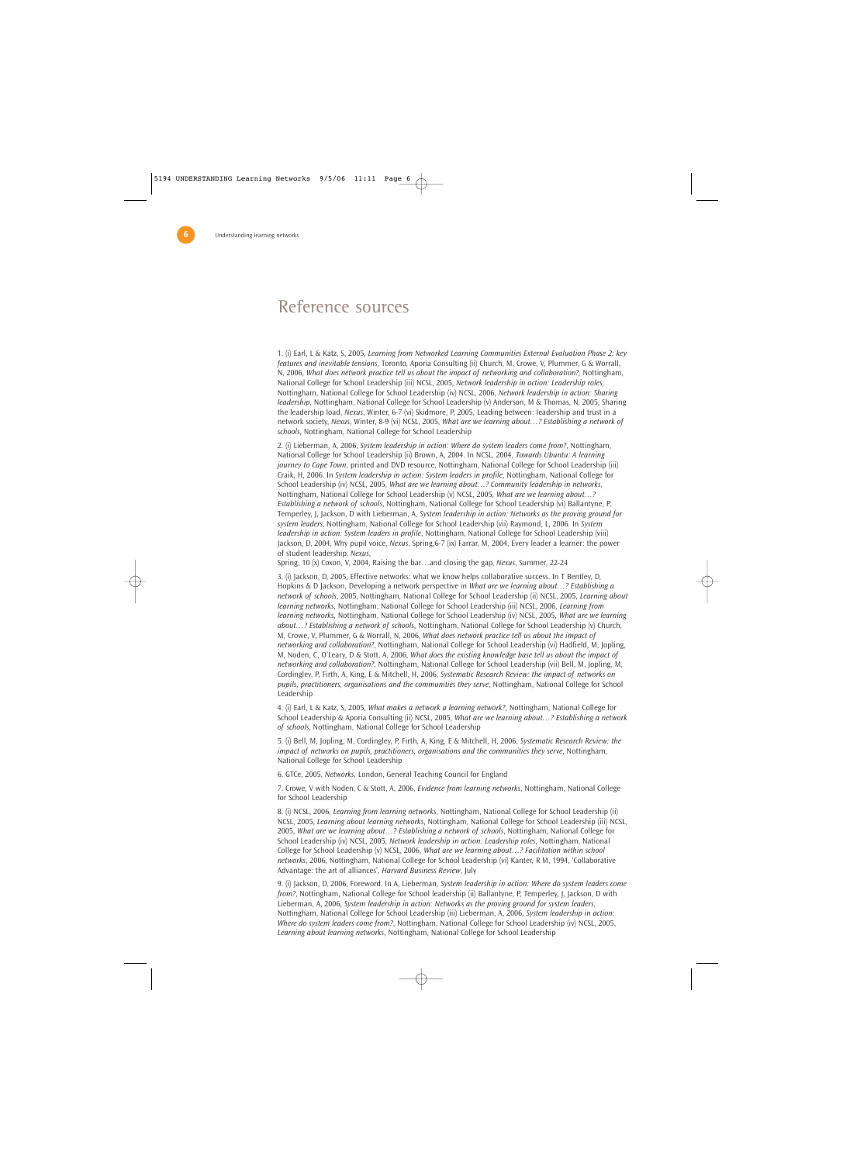#### Reference sources

1. (i) Earl, L & Katz, S, 2005, *Learning from Networked Learning Communities External Evaluation Phase 2: key features and inevitable tensions*, Toronto, Aporia Consulting (ii) Church, M, Crowe, V, Plummer, G & Worrall, N, 2006, *What does network practice tell us about the impact of networking and collaboration?,* Nottingham, National College for School Leadership (iii) NCSL, 2005, *Network leadership in action: Leadership roles*, Nottingham, National College for School Leadership (iv) NCSL, 2006, *Network leadership in action: Sharing leadership*, Nottingham, National College for School Leadership (v) Anderson, M & Thomas, N, 2005, Sharing the leadership load, *Nexus*, Winter, 6-7 (vi) Skidmore, P, 2005, Leading between: leadership and trust in a network society, *Nexus*, Winter, 8-9 (vi) NCSL, 2005, *What are we learning about…? Establishing a network of schools*, Nottingham, National College for School Leadership

2. (i) Lieberman, A, 2006, *System leadership in action: Where do system leaders come from?*, Nottingham, National College for School Leadership (ii) Brown, A, 2004. In NCSL, 2004, *Towards Ubuntu: A learning journey to Cape Town*, printed and DVD resource, Nottingham, National College for School Leadership (iii) Craik, H, 2006. In *System leadership in action: System leaders in profile*, Nottingham, National College for School Leadership (iv) NCSL, 2005, *What are we learning about…? Community leadership in networks*, Nottingham, National College for School Leadership (v) NCSL, 2005, *What are we learning about…? Establishing a network of schools*, Nottingham, National College for School Leadership (vi) Ballantyne, P, Temperley, J, Jackson, D with Lieberman, A, *System leadership in action: Networks as the proving ground for system leaders*, Nottingham, National College for School Leadership (vii) Raymond, L, 2006. In *System leadership in action: System leaders in profile*, Nottingham, National College for School Leadership (viii) Jackson, D, 2004, Why pupil voice, *Nexus*, Spring,6-7 (ix) Farrar, M, 2004, Every leader a learner: the power of student leadership, *Nexus*,

Spring, 10 (x) Coxon, V, 2004, Raising the bar…and closing the gap, *Nexus*, Summer, 22-24

3. (i) Jackson, D, 2005, Effective networks: what we know helps collaborative success. In T Bentley, D, Hopkins & D Jackson, Developing a network perspective in *What are we learning about…? Establishing a network of schools*, 2005, Nottingham, National College for School Leadership (ii) NCSL, 2005, *Learning about learning networks*, Nottingham, National College for School Leadership (iii) NCSL, 2006, *Learning from learning networks*, Nottingham, National College for School Leadership (iv) NCSL, 2005, *What are we learning about…? Establishing a network of schools*, Nottingham, National College for School Leadership (v) Church, M, Crowe, V, Plummer, G & Worrall, N, 2006, *What does network practice tell us about the impact of networking and collaboration?*, Nottingham, National College for School Leadership (vi) Hadfield, M, Jopling, M, Noden, C, O'Leary, D & Stott, A, 2006, *What does the existing knowledge base tell us about the impact of networking and collaboration?*, Nottingham, National College for School Leadership (vii) Bell, M, Jopling, M, Cordingley, P, Firth, A, King, E & Mitchell, H, 2006, *Systematic Research Review: the impact of networks on pupils, practitioners, organisations and the communities they serve*, Nottingham, National College for School Leadership

4. (i) Earl, L & Katz, S, 2005, *What makes a network a learning network?*, Nottingham, National College for School Leadership & Aporia Consulting (ii) NCSL, 2005, *What are we learning about…? Establishing a network of schools*, Nottingham, National College for School Leadership

5. (i) Bell, M, Jopling, M, Cordingley, P, Firth, A, King, E & Mitchell, H, 2006, *Systematic Research Review: the impact of networks on pupils, practitioners, organisations and the communities they serve*, Nottingham, National College for School Leadership

6. GTCe, 2005, *Networks*, London, General Teaching Council for England

7. Crowe, V with Noden, C & Stott, A, 2006, *Evidence from learning networks*, Nottingham, National College for School Leadership

8. (i) NCSL, 2006, *Learning from learning networks*, Nottingham, National College for School Leadership (ii) NCSL, 2005, *Learning about learning networks*, Nottingham, National College for School Leadership (iii) NCSL, 2005, *What are we learning about…? Establishing a network of schools*, Nottingham, National College for School Leadership (iv) NCSL, 2005, *Network leadership in action: Leadership roles*, Nottingham, National College for School Leadership (v) NCSL, 2006, *What are we learning about…? Facilitation within school networks*, 2006, Nottingham, National College for School Leadership (vi) Kanter, R M, 1994, 'Collaborative Advantage: the art of alliances', *Harvard Business Review*, July

9. (i) Jackson, D, 2006, Foreword. In A, Lieberman, *System leadership in action: Where do system leaders come from?*, Nottingham, National College for School leadership (ii) Ballantyne, P, Temperley, J, Jackson, D with Lieberman, A, 2006, *System leadership in action: Networks as the proving ground for system leaders*, Nottingham, National College for School Leadership (iii) Lieberman, A, 2006, *System leadership in action: Where do system leaders come from?*, Nottingham, National College for School Leadership (iv) NCSL, 2005, *Learning about learning networks*, Nottingham, National College for School Leadership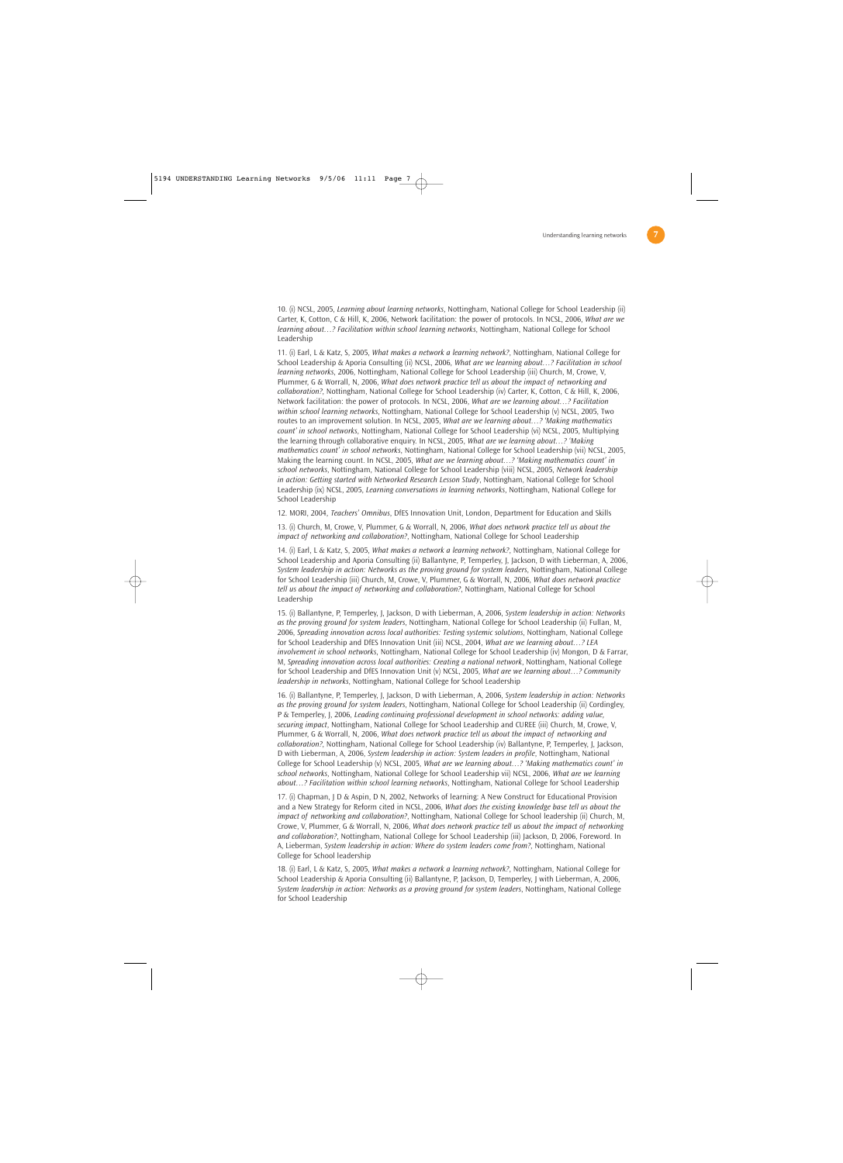10. (i) NCSL, 2005, *Learning about learning networks*, Nottingham, National College for School Leadership (ii) Carter, K, Cotton, C & Hill, K, 2006, Network facilitation: the power of protocols. In NCSL, 2006, *What are we learning about…? Facilitation within school learning networks*, Nottingham, National College for School Leadership

11. (i) Earl, L & Katz, S, 2005, *What makes a network a learning network?*, Nottingham, National College for School Leadership & Aporia Consulting (ii) NCSL, 2006, *What are we learning about…? Facilitation in school learning networks*, 2006, Nottingham, National College for School Leadership (iii) Church, M, Crowe, V, Plummer, G & Worrall, N, 2006, *What does network practice tell us about the impact of networking and collaboration?*, Nottingham, National College for School Leadership (iv) Carter, K, Cotton, C & Hill, K, 2006, Network facilitation: the power of protocols. In NCSL, 2006, *What are we learning about…? Facilitation within school learning networks*, Nottingham, National College for School Leadership (v) NCSL, 2005, Two routes to an improvement solution. In NCSL, 2005, *What are we learning about…? 'Making mathematics count' in school networks*, Nottingham, National College for School Leadership (vi) NCSL, 2005, Multiplying the learning through collaborative enquiry. In NCSL, 2005, *What are we learning about…? 'Making mathematics count' in school networks*, Nottingham, National College for School Leadership (vii) NCSL, 2005, Making the learning count. In NCSL, 2005, *What are we learning about…? 'Making mathematics count' in school networks*, Nottingham, National College for School Leadership (viii) NCSL, 2005, *Network leadership in action: Getting started with Networked Research Lesson Study*, Nottingham, National College for School Leadership (ix) NCSL, 2005, *Learning conversations in learning networks*, Nottingham, National College for School Leadership

12. MORI, 2004, *Teachers' Omnibus*, DfES Innovation Unit, London, Department for Education and Skills

13. (i) Church, M, Crowe, V, Plummer, G & Worrall, N, 2006, *What does network practice tell us about the impact of networking and collaboration?*, Nottingham, National College for School Leadership

14. (i) Earl, L & Katz, S, 2005, *What makes a network a learning network?*, Nottingham, National College for School Leadership and Aporia Consulting (ii) Ballantyne, P, Temperley, J, Jackson, D with Lieberman, A, 2006, *System leadership in action: Networks as the proving ground for system leaders*, Nottingham, National College for School Leadership (iii) Church, M, Crowe, V, Plummer, G & Worrall, N, 2006, *What does network practice tell us about the impact of networking and collaboration?*, Nottingham, National College for School Leadership

15. (i) Ballantyne, P, Temperley, J, Jackson, D with Lieberman, A, 2006, *System leadership in action: Networks as the proving ground for system leaders*, Nottingham, National College for School Leadership (ii) Fullan, M, 2006, *Spreading innovation across local authorities: Testing systemic solutions*, Nottingham, National College for School Leadership and DfES Innovation Unit (iii) NCSL, 2004, *What are we learning about…? LEA involvement in school networks*, Nottingham, National College for School Leadership (iv) Mongon, D & Farrar, M, *Spreading innovation across local authorities: Creating a national network*, Nottingham, National College for School Leadership and DfES Innovation Unit (v) NCSL, 2005, *What are we learning about…? Community leadership in networks*, Nottingham, National College for School Leadership

16. (i) Ballantyne, P, Temperley, J, Jackson, D with Lieberman, A, 2006, *System leadership in action: Networks as the proving ground for system leaders*, Nottingham, National College for School Leadership (ii) Cordingley, P & Temperley, J, 2006, *Leading continuing professional development in school networks: adding value, securing impact*, Nottingham, National College for School Leadership and CUREE (iii) Church, M, Crowe, V, Plummer, G & Worrall, N, 2006, *What does network practice tell us about the impact of networking and collaboration?*, Nottingham, National College for School Leadership (iv) Ballantyne, P, Temperley, J, Jackson, D with Lieberman, A, 2006, *System leadership in action: System leaders in profile*, Nottingham, National College for School Leadership (v) NCSL, 2005, *What are we learning about…? 'Making mathematics count' in school networks*, Nottingham, National College for School Leadership vii) NCSL, 2006, *What are we learning about…? Facilitation within school learning networks*, Nottingham, National College for School Leadership

17. (i) Chapman, J D & Aspin, D N, 2002, Networks of learning: A New Construct for Educational Provision and a New Strategy for Reform cited in NCSL, 2006, *What does the existing knowledge base tell us about the impact of networking and collaboration?*, Nottingham, National College for School leadership (ii) Church, M, Crowe, V, Plummer, G & Worrall, N, 2006, *What does network practice tell us about the impact of networking and collaboration?*, Nottingham, National College for School Leadership (iii) Jackson, D, 2006, Foreword. In A, Lieberman, *System leadership in action: Where do system leaders come from?*, Nottingham, National College for School leadership

18. (i) Earl, L & Katz, S, 2005, *What makes a network a learning network?*, Nottingham, National College for School Leadership & Aporia Consulting (ii) Ballantyne, P, Jackson, D, Temperley, J with Lieberman, A, 2006, *System leadership in action: Networks as a proving ground for system leaders*, Nottingham, National College for School Leadership